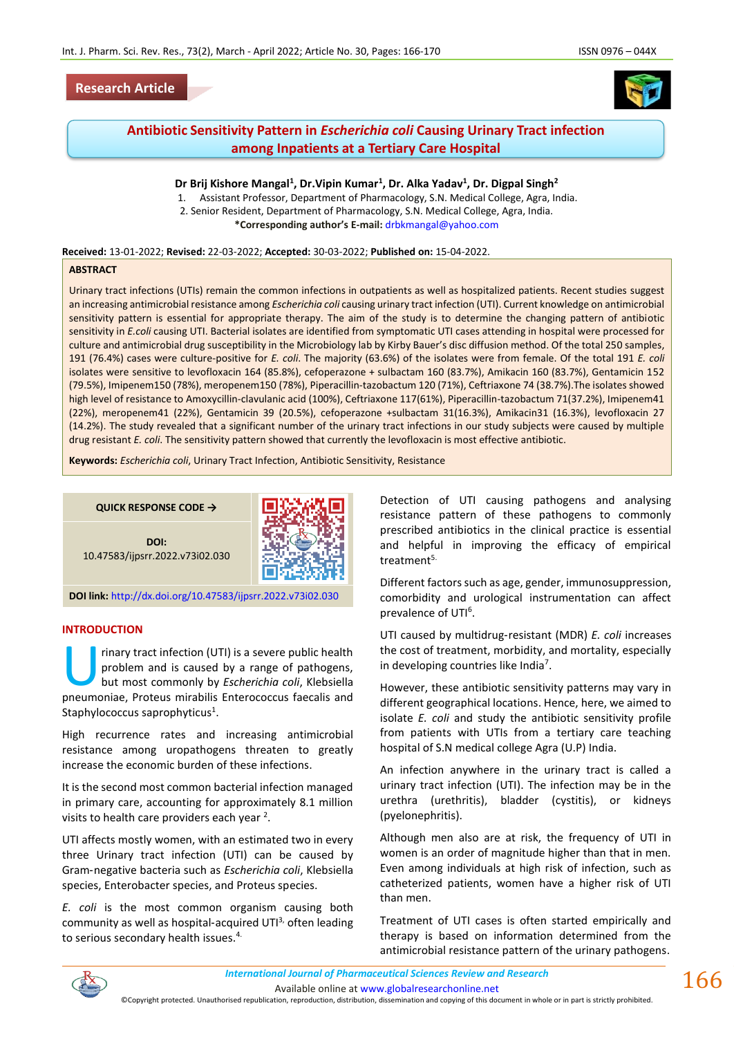## **Research Article**



# **Antibiotic Sensitivity Pattern in** *Escherichia coli* **Causing Urinary Tract infection among Inpatients at a Tertiary Care Hospital**

### **Dr Brij Kishore Mangal<sup>1</sup> , Dr.Vipin Kumar<sup>1</sup> , Dr. Alka Yadav<sup>1</sup> , Dr. Digpal Singh<sup>2</sup>**

1. Assistant Professor, Department of Pharmacology, S.N. Medical College, Agra, India. 2. Senior Resident, Department of Pharmacology, S.N. Medical College, Agra, India. **\*Corresponding author's E-mail:** [drbkmangal@yahoo.com](mailto:drbkmangal@yahoo.com)

**Received:** 13-01-2022; **Revised:** 22-03-2022; **Accepted:** 30-03-2022; **Published on:** 15-04-2022.

#### **ABSTRACT**

Urinary tract infections (UTIs) remain the common infections in outpatients as well as hospitalized patients. Recent studies suggest an increasing antimicrobial resistance among *Escherichia coli* causing urinary tract infection (UTI). Current knowledge on antimicrobial sensitivity pattern is essential for appropriate therapy. The aim of the study is to determine the changing pattern of antibiotic sensitivity in *E.coli* causing UTI. Bacterial isolates are identified from symptomatic UTI cases attending in hospital were processed for culture and antimicrobial drug susceptibility in the Microbiology lab by Kirby Bauer's disc diffusion method. Of the total 250 samples, 191 (76.4%) cases were culture-positive for *E. coli*. The majority (63.6%) of the isolates were from female. Of the total 191 *E. coli* isolates were sensitive to levofloxacin 164 (85.8%), cefoperazone + sulbactam 160 (83.7%), Amikacin 160 (83.7%), Gentamicin 152 (79.5%), Imipenem150 (78%), meropenem150 (78%), Piperacillin-tazobactum 120 (71%), Ceftriaxone 74 (38.7%).The isolates showed high level of resistance to Amoxycillin-clavulanic acid (100%), Ceftriaxone 117(61%), Piperacillin-tazobactum 71(37.2%), Imipenem41 (22%), meropenem41 (22%), Gentamicin 39 (20.5%), cefoperazone +sulbactam 31(16.3%), Amikacin31 (16.3%), levofloxacin 27 (14.2%). The study revealed that a significant number of the urinary tract infections in our study subjects were caused by multiple drug resistant *E. coli*. The sensitivity pattern showed that currently the levofloxacin is most effective antibiotic.

**Keywords:** *Escherichia coli*, Urinary Tract Infection, Antibiotic Sensitivity, Resistance

**QUICK RESPONSE CODE →**



**DOI:** 10.47583/ijpsrr.2022.v73i02.030

**DOI link:** <http://dx.doi.org/10.47583/ijpsrr.2022.v73i02.030>

#### **INTRODUCTION**

rinary tract infection (UTI) is a severe public health problem and is caused by a range of pathogens, but most commonly by *Escherichia coli*, Klebsiella rinary tract infection (UTI) is a severe public health<br>problem and is caused by a range of pathogens,<br>but most commonly by *Escherichia coli*, Klebsiella<br>pneumoniae, Proteus mirabilis Enterococcus faecalis and Staphylococcus saprophyticus<sup>1</sup>.

High recurrence rates and increasing antimicrobial resistance among uropathogens threaten to greatly increase the economic burden of these infections.

It is the second most common bacterial infection managed in primary care, accounting for approximately 8.1 million visits to health care providers each year  $2$ .

UTI affects mostly women, with an estimated two in every three Urinary tract infection (UTI) can be caused by Gram‑negative bacteria such as *Escherichia coli*, Klebsiella species, Enterobacter species, and Proteus species.

*E. coli* is the most common organism causing both community as well as hospital-acquired UTI<sup>3,</sup> often leading to serious secondary health issues.<sup>4.</sup>

Detection of UTI causing pathogens and analysing resistance pattern of these pathogens to commonly prescribed antibiotics in the clinical practice is essential and helpful in improving the efficacy of empirical treatment<sup>5.</sup>

Different factors such as age, gender, immunosuppression, comorbidity and urological instrumentation can affect prevalence of UTI<sup>6</sup>.

UTI caused by multidrug‑resistant (MDR) *E. coli* increases the cost of treatment, morbidity, and mortality, especially in developing countries like India<sup>7</sup>.

However, these antibiotic sensitivity patterns may vary in different geographical locations. Hence, here, we aimed to isolate *E. coli* and study the antibiotic sensitivity profile from patients with UTIs from a tertiary care teaching hospital of S.N medical college Agra (U.P) India.

An infection anywhere in the urinary tract is called a urinary tract infection (UTI). The infection may be in the urethra (urethritis), bladder (cystitis), or kidneys (pyelonephritis).

Although men also are at risk, the frequency of UTI in women is an order of magnitude higher than that in men. Even among individuals at high risk of infection, such as catheterized patients, women have a higher risk of UTI than men.

Treatment of UTI cases is often started empirically and therapy is based on information determined from the antimicrobial resistance pattern of the urinary pathogens.

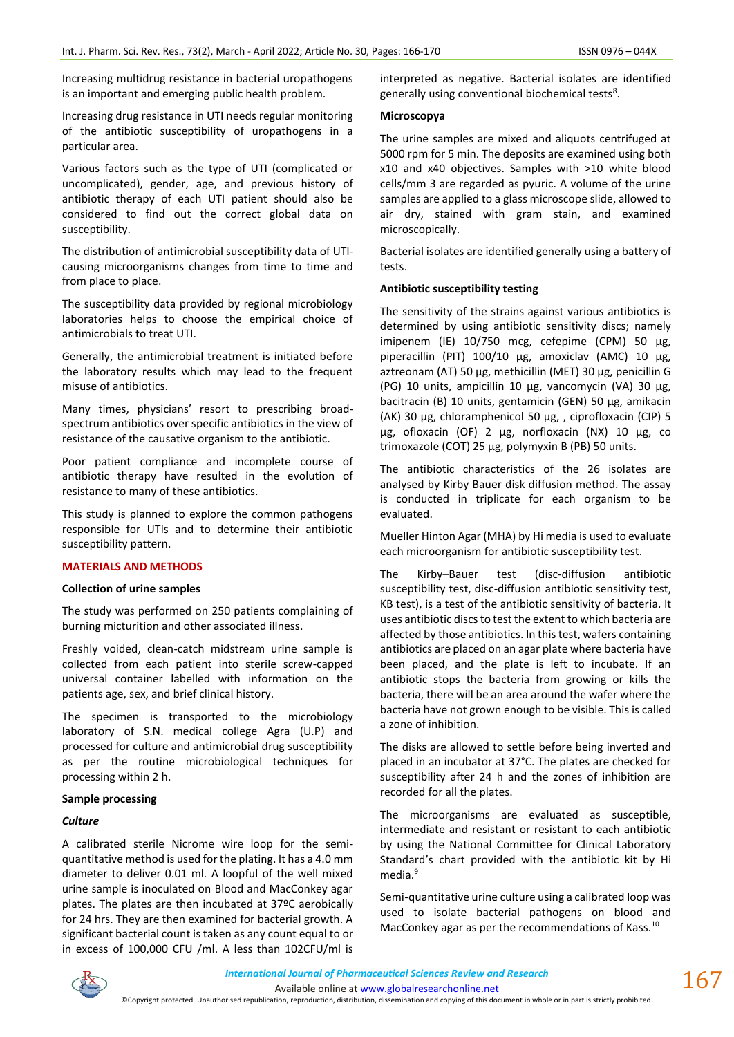Increasing multidrug resistance in bacterial uropathogens is an important and emerging public health problem.

Increasing drug resistance in UTI needs regular monitoring of the antibiotic susceptibility of uropathogens in a particular area.

Various factors such as the type of UTI (complicated or uncomplicated), gender, age, and previous history of antibiotic therapy of each UTI patient should also be considered to find out the correct global data on susceptibility.

The distribution of antimicrobial susceptibility data of UTIcausing microorganisms changes from time to time and from place to place.

The susceptibility data provided by regional microbiology laboratories helps to choose the empirical choice of antimicrobials to treat UTI.

Generally, the antimicrobial treatment is initiated before the laboratory results which may lead to the frequent misuse of antibiotics.

Many times, physicians' resort to prescribing broadspectrum antibiotics over specific antibiotics in the view of resistance of the causative organism to the antibiotic.

Poor patient compliance and incomplete course of antibiotic therapy have resulted in the evolution of resistance to many of these antibiotics.

This study is planned to explore the common pathogens responsible for UTIs and to determine their antibiotic susceptibility pattern.

#### **MATERIALS AND METHODS**

#### **Collection of urine samples**

The study was performed on 250 patients complaining of burning micturition and other associated illness.

Freshly voided, clean-catch midstream urine sample is collected from each patient into sterile screw-capped universal container labelled with information on the patients age, sex, and brief clinical history.

The specimen is transported to the microbiology laboratory of S.N. medical college Agra (U.P) and processed for culture and antimicrobial drug susceptibility as per the routine microbiological techniques for processing within 2 h.

#### **Sample processing**

#### *Culture*

A calibrated sterile Nicrome wire loop for the semiquantitative method is used for the plating. It has a 4.0 mm diameter to deliver 0.01 ml. A loopful of the well mixed urine sample is inoculated on Blood and MacConkey agar plates. The plates are then incubated at 37ºC aerobically for 24 hrs. They are then examined for bacterial growth. A significant bacterial count is taken as any count equal to or in excess of 100,000 CFU /ml. A less than 102CFU/ml is interpreted as negative. Bacterial isolates are identified generally using conventional biochemical tests $8$ .

#### **Microscopya**

The urine samples are mixed and aliquots centrifuged at 5000 rpm for 5 min. The deposits are examined using both x10 and x40 objectives. Samples with >10 white blood cells/mm 3 are regarded as pyuric. A volume of the urine samples are applied to a glass microscope slide, allowed to air dry, stained with gram stain, and examined microscopically.

Bacterial isolates are identified generally using a battery of tests.

#### **Antibiotic susceptibility testing**

The sensitivity of the strains against various antibiotics is determined by using antibiotic sensitivity discs; namely imipenem (IE) 10/750 mcg, cefepime (CPM) 50 µg, piperacillin (PIT) 100/10 µg, amoxiclav (AMC) 10 µg, aztreonam (AT) 50 µg, methicillin (MET) 30 µg, penicillin G (PG) 10 units, ampicillin 10 µg, vancomycin (VA) 30 µg, bacitracin (B) 10 units, gentamicin (GEN) 50 µg, amikacin (AK) 30 µg, chloramphenicol 50 µg, , ciprofloxacin (CIP) 5 µg, ofloxacin (OF) 2 µg, norfloxacin (NX) 10 µg, co trimoxazole (COT) 25 µg, polymyxin B (PB) 50 units.

The antibiotic characteristics of the 26 isolates are analysed by Kirby Bauer disk diffusion method. The assay is conducted in triplicate for each organism to be evaluated.

Mueller Hinton Agar (MHA) by Hi media is used to evaluate each microorganism for antibiotic susceptibility test.

The Kirby–Bauer test (disc-diffusion antibiotic susceptibility test, disc-diffusion antibiotic sensitivity test, KB test), is a test of the antibiotic sensitivity of bacteria. It uses antibiotic discs to test the extent to which bacteria are affected by those antibiotics. In this test, wafers containing antibiotics are placed on an agar plate where bacteria have been placed, and the plate is left to incubate. If an antibiotic stops the bacteria from growing or kills the bacteria, there will be an area around the wafer where the bacteria have not grown enough to be visible. This is called a zone of inhibition.

The disks are allowed to settle before being inverted and placed in an incubator at 37°C. The plates are checked for susceptibility after 24 h and the zones of inhibition are recorded for all the plates.

The microorganisms are evaluated as susceptible, intermediate and resistant or resistant to each antibiotic by using the National Committee for Clinical Laboratory Standard's chart provided with the antibiotic kit by Hi media.<sup>9</sup>

Semi‑quantitative urine culture using a calibrated loop was used to isolate bacterial pathogens on blood and MacConkey agar as per the recommendations of Kass.10



Available online a[t www.globalresearchonline.net](http://www.globalresearchonline.net/) ©Copyright protected. Unauthorised republication, reproduction, distribution, dissemination and copying of this document in whole or in part is strictly prohibited.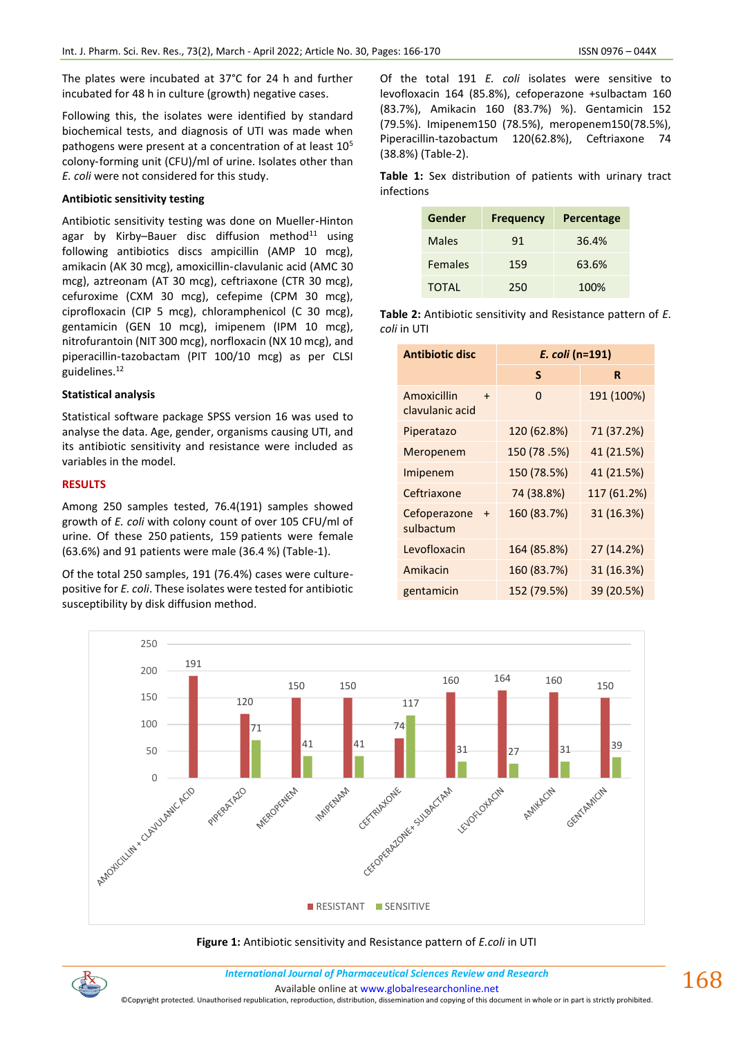The plates were incubated at 37°C for 24 h and further incubated for 48 h in culture (growth) negative cases.

Following this, the isolates were identified by standard biochemical tests, and diagnosis of UTI was made when pathogens were present at a concentration of at least  $10<sup>5</sup>$ colony-forming unit (CFU)/ml of urine. Isolates other than *E. coli* were not considered for this study.

### **Antibiotic sensitivity testing**

Antibiotic sensitivity testing was done on Mueller‑Hinton agar by Kirby-Bauer disc diffusion method $11$  using following antibiotics discs ampicillin (AMP 10 mcg), amikacin (AK 30 mcg), amoxicillin‑clavulanic acid (AMC 30 mcg), aztreonam (AT 30 mcg), ceftriaxone (CTR 30 mcg), cefuroxime (CXM 30 mcg), cefepime (CPM 30 mcg), ciprofloxacin (CIP 5 mcg), chloramphenicol (C 30 mcg), gentamicin (GEN 10 mcg), imipenem (IPM 10 mcg), nitrofurantoin (NIT 300 mcg), norfloxacin (NX 10 mcg), and piperacillin-tazobactam (PIT 100/10 mcg) as per CLSI guidelines.<sup>12</sup>

### **Statistical analysis**

Statistical software package SPSS version 16 was used to analyse the data. Age, gender, organisms causing UTI, and its antibiotic sensitivity and resistance were included as variables in the model.

### **RESULTS**

Among 250 samples tested, 76.4(191) samples showed growth of *E. coli* with colony count of over 105 CFU/ml of urine. Of these 250 patients, 159 patients were female (63.6%) and 91 patients were male (36.4 %) (Table-1).

Of the total 250 samples, 191 (76.4%) cases were culturepositive for *E. coli*. These isolates were tested for antibiotic susceptibility by disk diffusion method.

Of the total 191 *E. coli* isolates were sensitive to levofloxacin 164 (85.8%), cefoperazone +sulbactam 160 (83.7%), Amikacin 160 (83.7%) %). Gentamicin 152 (79.5%). Imipenem150 (78.5%), meropenem150(78.5%), Piperacillin-tazobactum 120(62.8%), Ceftriaxone 74 (38.8%) (Table-2).

**Table 1:** Sex distribution of patients with urinary tract infections

| Gender       | <b>Frequency</b> | Percentage |
|--------------|------------------|------------|
| Males        | 91               | 36.4%      |
| Females      | 159              | 63.6%      |
| <b>TOTAL</b> | 250              | 100%       |

**Table 2:** Antibiotic sensitivity and Resistance pattern of *E. coli* in UTI

| <b>Antibiotic disc</b>                   | E. coli (n=191) |             |
|------------------------------------------|-----------------|-------------|
|                                          | S               | R           |
| Amoxicillin<br>$\div$<br>clavulanic acid | 0               | 191 (100%)  |
| Piperatazo                               | 120 (62.8%)     | 71 (37.2%)  |
| Meropenem                                | 150 (78.5%)     | 41 (21.5%)  |
| Imipenem                                 | 150 (78.5%)     | 41 (21.5%)  |
| Ceftriaxone                              | 74 (38.8%)      | 117 (61.2%) |
| Cefoperazone<br>$+$<br>sulbactum         | 160 (83.7%)     | 31 (16.3%)  |
| Levofloxacin                             | 164 (85.8%)     | 27 (14.2%)  |
| Amikacin                                 | 160 (83.7%)     | 31 (16.3%)  |
| gentamicin                               | 152 (79.5%)     | 39 (20.5%)  |



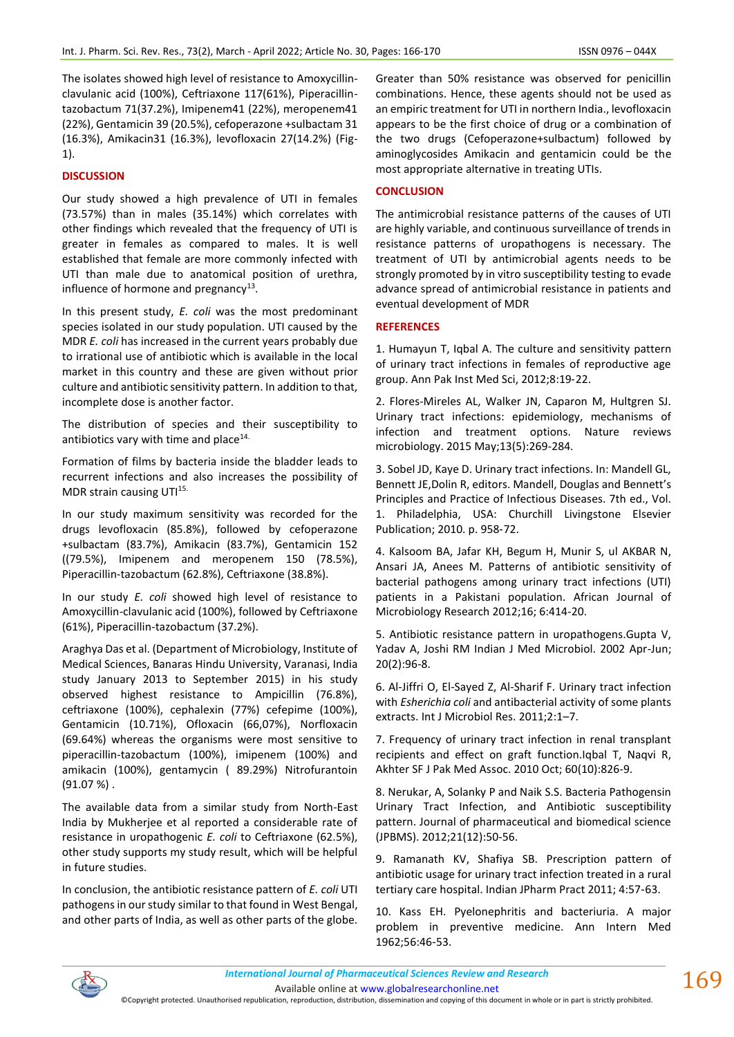The isolates showed high level of resistance to Amoxycillinclavulanic acid (100%), Ceftriaxone 117(61%), Piperacillintazobactum 71(37.2%), Imipenem41 (22%), meropenem41 (22%), Gentamicin 39 (20.5%), cefoperazone +sulbactam 31 (16.3%), Amikacin31 (16.3%), levofloxacin 27(14.2%) (Fig-1).

#### **DISCUSSION**

Our study showed a high prevalence of UTI in females (73.57%) than in males (35.14%) which correlates with other findings which revealed that the frequency of UTI is greater in females as compared to males. It is well established that female are more commonly infected with UTI than male due to anatomical position of urethra, influence of hormone and pregnancy $^{13}$ .

In this present study, *E. coli* was the most predominant species isolated in our study population. UTI caused by the MDR *E. coli* has increased in the current years probably due to irrational use of antibiotic which is available in the local market in this country and these are given without prior culture and antibiotic sensitivity pattern. In addition to that, incomplete dose is another factor.

The distribution of species and their susceptibility to antibiotics vary with time and place $14$ .

Formation of films by bacteria inside the bladder leads to recurrent infections and also increases the possibility of MDR strain causing UTI<sup>15.</sup>

In our study maximum sensitivity was recorded for the drugs levofloxacin (85.8%), followed by cefoperazone +sulbactam (83.7%), Amikacin (83.7%), Gentamicin 152 ((79.5%), Imipenem and meropenem 150 (78.5%), Piperacillin-tazobactum (62.8%), Ceftriaxone (38.8%).

In our study *E. coli* showed high level of resistance to Amoxycillin-clavulanic acid (100%), followed by Ceftriaxone (61%), Piperacillin-tazobactum (37.2%).

Araghya Das et al. (Department of Microbiology, Institute of Medical Sciences, Banaras Hindu University, Varanasi, India study January 2013 to September 2015) in his study observed highest resistance to Ampicillin (76.8%), ceftriaxone (100%), cephalexin (77%) cefepime (100%), Gentamicin (10.71%), Ofloxacin (66,07%), Norfloxacin (69.64%) whereas the organisms were most sensitive to piperacillin-tazobactum (100%), imipenem (100%) and amikacin (100%), gentamycin ( 89.29%) Nitrofurantoin (91.07 %) .

The available data from a similar study from North-East India by Mukherjee et al reported a considerable rate of resistance in uropathogenic *E. coli* to Ceftriaxone (62.5%), other study supports my study result, which will be helpful in future studies.

In conclusion, the antibiotic resistance pattern of *E. coli* UTI pathogens in our study similar to that found in West Bengal, and other parts of India, as well as other parts of the globe. Greater than 50% resistance was observed for penicillin combinations. Hence, these agents should not be used as an empiric treatment for UTI in northern India., levofloxacin appears to be the first choice of drug or a combination of the two drugs (Cefoperazone+sulbactum) followed by aminoglycosides Amikacin and gentamicin could be the most appropriate alternative in treating UTIs.

#### **CONCLUSION**

The antimicrobial resistance patterns of the causes of UTI are highly variable, and continuous surveillance of trends in resistance patterns of uropathogens is necessary. The treatment of UTI by antimicrobial agents needs to be strongly promoted by in vitro susceptibility testing to evade advance spread of antimicrobial resistance in patients and eventual development of MDR

#### **REFERENCES**

1. Humayun T, Iqbal A. The culture and sensitivity pattern of urinary tract infections in females of reproductive age group. Ann Pak Inst Med Sci, 2012;8:19‑22.

2. Flores-Mireles AL, Walker JN, Caparon M, Hultgren SJ. Urinary tract infections: epidemiology, mechanisms of infection and treatment options. Nature reviews microbiology. 2015 May;13(5):269-284.

3. Sobel JD, Kaye D. Urinary tract infections. In: Mandell GL, Bennett JE,Dolin R, editors. Mandell, Douglas and Bennett's Principles and Practice of Infectious Diseases. 7th ed., Vol. 1. Philadelphia, USA: Churchill Livingstone Elsevier Publication; 2010. p. 958‑72.

4. Kalsoom BA, Jafar KH, Begum H, Munir S, ul AKBAR N, Ansari JA, Anees M. Patterns of antibiotic sensitivity of bacterial pathogens among urinary tract infections (UTI) patients in a Pakistani population. African Journal of Microbiology Research 2012;16; 6:414-20.

5. Antibiotic resistance pattern in uropathogens.Gupta V, Yadav A, Joshi RM Indian J Med Microbiol. 2002 Apr-Jun; 20(2):96-8.

6. Al-Jiffri O, El-Sayed Z, Al-Sharif F. Urinary tract infection with *Esherichia coli* and antibacterial activity of some plants extracts. Int J Microbiol Res. 2011;2:1–7.

7. Frequency of urinary tract infection in renal transplant recipients and effect on graft function.Iqbal T, Naqvi R, Akhter SF J Pak Med Assoc. 2010 Oct; 60(10):826-9.

8. Nerukar, A, Solanky P and Naik S.S. Bacteria Pathogensin Urinary Tract Infection, and Antibiotic susceptibility pattern. Journal of pharmaceutical and biomedical science (JPBMS). 2012;21(12):50-56.

9. Ramanath KV, Shafiya SB. Prescription pattern of antibiotic usage for urinary tract infection treated in a rural tertiary care hospital. Indian JPharm Pract 2011; 4:57‑63.

10. Kass EH. Pyelonephritis and bacteriuria. A major problem in preventive medicine. Ann Intern Med 1962;56:46‑53.



Available online a[t www.globalresearchonline.net](http://www.globalresearchonline.net/)